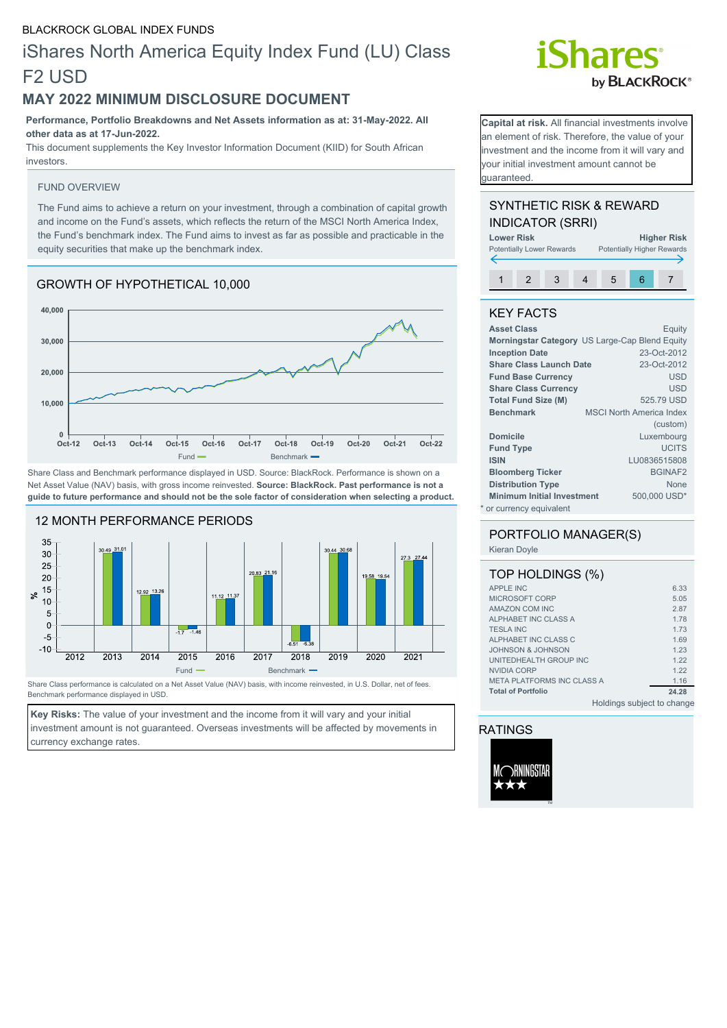## iShares North America Equity Index Fund (LU) Class F2 USD

## **MAY 2022 MINIMUM DISCLOSURE DOCUMENT**

**Performance, Portfolio Breakdowns and Net Assets information as at: 31-May-2022. All other data as at 17-Jun-2022.**

This document supplements the Key Investor Information Document (KIID) for South African investors.

#### FUND OVERVIEW

The Fund aims to achieve a return on your investment, through a combination of capital growth and income on the Fund's assets, which reflects the return of the MSCI North America Index, the Fund's benchmark index. The Fund aims to invest as far as possible and practicable in the equity securities that make up the benchmark index.

## GROWTH OF HYPOTHETICAL 10,000



Share Class and Benchmark performance displayed in USD. Source: BlackRock. Performance is shown on a Net Asset Value (NAV) basis, with gross income reinvested. **Source: BlackRock. Past performance is not a guide to future performance and should not be the sole factor of consideration when selecting a product.**



Share Class performance is calculated on a Net Asset Value (NAV) basis, with income reinvested, in U.S. Dollar, net of fees. Benchmark performance displayed in USD.

**Key Risks:** The value of your investment and the income from it will vary and your initial investment amount is not guaranteed. Overseas investments will be affected by movements in currency exchange rates.

# **Shares** by **BLACKROCK**<sup>®</sup>

**Capital at risk.** All financial investments involve an element of risk. Therefore, the value of your investment and the income from it will vary and your initial investment amount cannot be guaranteed.

### SYNTHETIC RISK & REWARD INDICATOR (SRRI)

| <b>Lower Risk</b>                |  |  |                                   |   | <b>Higher Risk</b> |  |
|----------------------------------|--|--|-----------------------------------|---|--------------------|--|
| <b>Potentially Lower Rewards</b> |  |  | <b>Potentially Higher Rewards</b> |   |                    |  |
|                                  |  |  |                                   |   |                    |  |
|                                  |  |  |                                   | 5 |                    |  |
|                                  |  |  |                                   |   |                    |  |

## KEY FACTS

| <b>Asset Class</b>                | Equity                                         |
|-----------------------------------|------------------------------------------------|
|                                   | Morningstar Category US Large-Cap Blend Equity |
| <b>Inception Date</b>             | 23-Oct-2012                                    |
| <b>Share Class Launch Date</b>    | 23-Oct-2012                                    |
| <b>Fund Base Currency</b>         | <b>USD</b>                                     |
| <b>Share Class Currency</b>       | <b>USD</b>                                     |
| <b>Total Fund Size (M)</b>        | 525.79 USD                                     |
| <b>Benchmark</b>                  | <b>MSCI North America Index</b>                |
|                                   | (custom)                                       |
| <b>Domicile</b>                   | Luxembourg                                     |
| <b>Fund Type</b>                  | <b>UCITS</b>                                   |
| <b>ISIN</b>                       | LU0836515808                                   |
| <b>Bloomberg Ticker</b>           | <b>BGINAF2</b>                                 |
| <b>Distribution Type</b>          | <b>None</b>                                    |
| <b>Minimum Initial Investment</b> | 500,000 USD*                                   |
| * or currency equivalent          |                                                |

## PORTFOLIO MANAGER(S)

### Kieran Doyle

| TOP HOLDINGS (%)                  |       |
|-----------------------------------|-------|
| <b>APPLE INC</b>                  | 6.33  |
| MICROSOFT CORP                    | 5.05  |
| AMAZON COM INC                    | 2.87  |
| ALPHABET INC CLASS A              | 1.78  |
| <b>TESLA INC</b>                  | 1.73  |
| ALPHABET INC CLASS C              | 1.69  |
| JOHNSON & JOHNSON                 | 1.23  |
| UNITEDHEALTH GROUP INC            | 1.22  |
| NVIDIA CORP                       | 1.22  |
| <b>META PLATFORMS INC CLASS A</b> | 1.16  |
| <b>Total of Portfolio</b>         | 24.28 |
| Holdings subject to change        |       |

## RATINGS

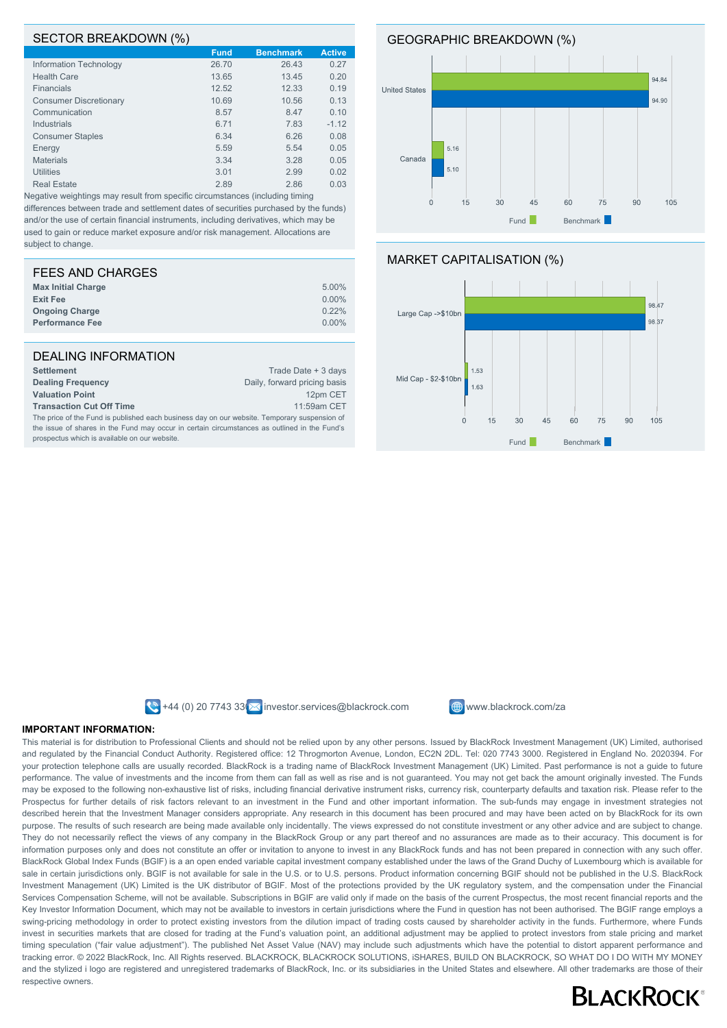#### SECTOR BREAKDOWN (%)

|                               | $\cdot$     |                  |               |
|-------------------------------|-------------|------------------|---------------|
|                               | <b>Fund</b> | <b>Benchmark</b> | <b>Active</b> |
| Information Technology        | 26.70       | 26.43            | 0.27          |
| <b>Health Care</b>            | 13.65       | 13.45            | 0.20          |
| Financials                    | 12.52       | 12.33            | 0.19          |
| <b>Consumer Discretionary</b> | 10.69       | 10.56            | 0.13          |
| Communication                 | 8.57        | 8.47             | 0.10          |
| Industrials                   | 6.71        | 7.83             | $-1.12$       |
| <b>Consumer Staples</b>       | 6.34        | 6.26             | 0.08          |
| Energy                        | 5.59        | 5.54             | 0.05          |
| <b>Materials</b>              | 3.34        | 3.28             | 0.05          |
| <b>Utilities</b>              | 3.01        | 2.99             | 0.02          |
| <b>Real Estate</b>            | 2.89        | 2.86             | 0.03          |
|                               |             |                  |               |

Negative weightings may result from specific circumstances (including timing differences between trade and settlement dates of securities purchased by the funds) and/or the use of certain financial instruments, including derivatives, which may be used to gain or reduce market exposure and/or risk management. Allocations are subject to change.

| FEES AND CHARGES          |          |
|---------------------------|----------|
| <b>Max Initial Charge</b> | 5.00%    |
| <b>Exit Fee</b>           | $0.00\%$ |
| <b>Ongoing Charge</b>     | 0.22%    |
| <b>Performance Fee</b>    | $0.00\%$ |
|                           |          |

| DEALING INFORMATION                                                                          |                              |  |
|----------------------------------------------------------------------------------------------|------------------------------|--|
| <b>Settlement</b>                                                                            | Trade Date + 3 days          |  |
| <b>Dealing Frequency</b>                                                                     | Daily, forward pricing basis |  |
| <b>Valuation Point</b>                                                                       | 12pm CET                     |  |
| <b>Transaction Cut Off Time</b>                                                              | 11:59am CET                  |  |
| The price of the Fund is published each business day on our website. Temporary suspension of |                              |  |
| the issue of shares in the Fund may occur in certain circumstances as outlined in the Fund's |                              |  |
| prospectus which is available on our website.                                                |                              |  |





 $\bigotimes$  +44 (0) 20 7743 33  $\bigotimes$  investor.services@blackrock.com  $\bigoplus$  www.blackrock.com/za



#### **IMPORTANT INFORMATION:**

This material is for distribution to Professional Clients and should not be relied upon by any other persons. Issued by BlackRock Investment Management (UK) Limited, authorised and regulated by the Financial Conduct Authority. Registered office: 12 Throgmorton Avenue, London, EC2N 2DL. Tel: 020 7743 3000. Registered in England No. 2020394. For your protection telephone calls are usually recorded. BlackRock is a trading name of BlackRock Investment Management (UK) Limited. Past performance is not a guide to future performance. The value of investments and the income from them can fall as well as rise and is not guaranteed. You may not get back the amount originally invested. The Funds may be exposed to the following non-exhaustive list of risks, including financial derivative instrument risks, currency risk, counterparty defaults and taxation risk. Please refer to the Prospectus for further details of risk factors relevant to an investment in the Fund and other important information. The sub-funds may engage in investment strategies not described herein that the Investment Manager considers appropriate. Any research in this document has been procured and may have been acted on by BlackRock for its own purpose. The results of such research are being made available only incidentally. The views expressed do not constitute investment or any other advice and are subject to change. They do not necessarily reflect the views of any company in the BlackRock Group or any part thereof and no assurances are made as to their accuracy. This document is for information purposes only and does not constitute an offer or invitation to anyone to invest in any BlackRock funds and has not been prepared in connection with any such offer. BlackRock Global Index Funds (BGIF) is a an open ended variable capital investment company established under the laws of the Grand Duchy of Luxembourg which is available for sale in certain jurisdictions only. BGIF is not available for sale in the U.S. or to U.S. persons. Product information concerning BGIF should not be published in the U.S. BlackRock Investment Management (UK) Limited is the UK distributor of BGIF. Most of the protections provided by the UK regulatory system, and the compensation under the Financial Services Compensation Scheme, will not be available. Subscriptions in BGIF are valid only if made on the basis of the current Prospectus, the most recent financial reports and the Key Investor Information Document, which may not be available to investors in certain jurisdictions where the Fund in question has not been authorised. The BGIF range employs a swing-pricing methodology in order to protect existing investors from the dilution impact of trading costs caused by shareholder activity in the funds. Furthermore, where Funds invest in securities markets that are closed for trading at the Fund's valuation point, an additional adjustment may be applied to protect investors from stale pricing and market timing speculation ("fair value adjustment"). The published Net Asset Value (NAV) may include such adjustments which have the potential to distort apparent performance and tracking error. © 2022 BlackRock, Inc. All Rights reserved. BLACKROCK, BLACKROCK SOLUTIONS, iSHARES, BUILD ON BLACKROCK, SO WHAT DO I DO WITH MY MONEY and the stylized i logo are registered and unregistered trademarks of BlackRock, Inc. or its subsidiaries in the United States and elsewhere. All other trademarks are those of their respective owners.